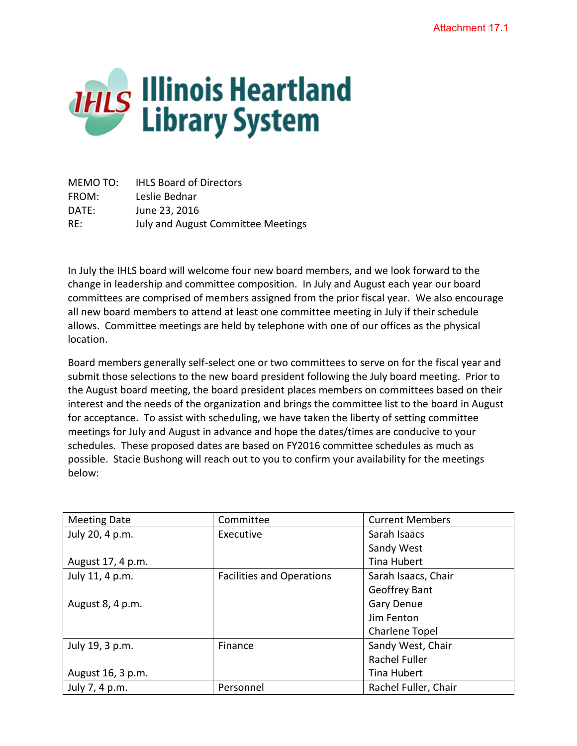

MEMO TO: IHLS Board of Directors FROM: Leslie Bednar DATE: June 23, 2016 RE: July and August Committee Meetings

In July the IHLS board will welcome four new board members, and we look forward to the change in leadership and committee composition. In July and August each year our board committees are comprised of members assigned from the prior fiscal year. We also encourage all new board members to attend at least one committee meeting in July if their schedule allows. Committee meetings are held by telephone with one of our offices as the physical location.

Board members generally self-select one or two committees to serve on for the fiscal year and submit those selections to the new board president following the July board meeting. Prior to the August board meeting, the board president places members on committees based on their interest and the needs of the organization and brings the committee list to the board in August for acceptance. To assist with scheduling, we have taken the liberty of setting committee meetings for July and August in advance and hope the dates/times are conducive to your schedules. These proposed dates are based on FY2016 committee schedules as much as possible. Stacie Bushong will reach out to you to confirm your availability for the meetings below:

| <b>Meeting Date</b> | Committee                        | <b>Current Members</b> |
|---------------------|----------------------------------|------------------------|
| July 20, 4 p.m.     | Executive                        | Sarah Isaacs           |
|                     |                                  | Sandy West             |
| August 17, 4 p.m.   |                                  | <b>Tina Hubert</b>     |
| July 11, 4 p.m.     | <b>Facilities and Operations</b> | Sarah Isaacs, Chair    |
|                     |                                  | Geoffrey Bant          |
| August 8, 4 p.m.    |                                  | <b>Gary Denue</b>      |
|                     |                                  | Jim Fenton             |
|                     |                                  | Charlene Topel         |
| July 19, 3 p.m.     | Finance                          | Sandy West, Chair      |
|                     |                                  | <b>Rachel Fuller</b>   |
| August 16, 3 p.m.   |                                  | Tina Hubert            |
| July 7, 4 p.m.      | Personnel                        | Rachel Fuller, Chair   |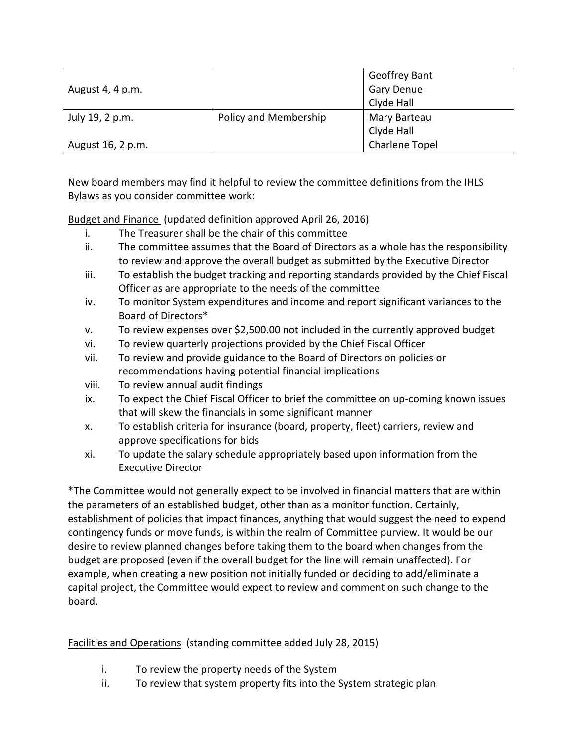|                   |                       | <b>Geoffrey Bant</b>  |
|-------------------|-----------------------|-----------------------|
| August 4, 4 p.m.  |                       | <b>Gary Denue</b>     |
|                   |                       | Clyde Hall            |
| July 19, 2 p.m.   | Policy and Membership | Mary Barteau          |
|                   |                       | Clyde Hall            |
| August 16, 2 p.m. |                       | <b>Charlene Topel</b> |

New board members may find it helpful to review the committee definitions from the IHLS Bylaws as you consider committee work:

Budget and Finance (updated definition approved April 26, 2016)

- i. The Treasurer shall be the chair of this committee
- ii. The committee assumes that the Board of Directors as a whole has the responsibility to review and approve the overall budget as submitted by the Executive Director
- iii. To establish the budget tracking and reporting standards provided by the Chief Fiscal Officer as are appropriate to the needs of the committee
- iv. To monitor System expenditures and income and report significant variances to the Board of Directors\*
- v. To review expenses over \$2,500.00 not included in the currently approved budget
- vi. To review quarterly projections provided by the Chief Fiscal Officer
- vii. To review and provide guidance to the Board of Directors on policies or recommendations having potential financial implications
- viii. To review annual audit findings
- ix. To expect the Chief Fiscal Officer to brief the committee on up-coming known issues that will skew the financials in some significant manner
- x. To establish criteria for insurance (board, property, fleet) carriers, review and approve specifications for bids
- xi. To update the salary schedule appropriately based upon information from the Executive Director

\*The Committee would not generally expect to be involved in financial matters that are within the parameters of an established budget, other than as a monitor function. Certainly, establishment of policies that impact finances, anything that would suggest the need to expend contingency funds or move funds, is within the realm of Committee purview. It would be our desire to review planned changes before taking them to the board when changes from the budget are proposed (even if the overall budget for the line will remain unaffected). For example, when creating a new position not initially funded or deciding to add/eliminate a capital project, the Committee would expect to review and comment on such change to the board.

Facilities and Operations (standing committee added July 28, 2015)

- i. To review the property needs of the System
- ii. To review that system property fits into the System strategic plan